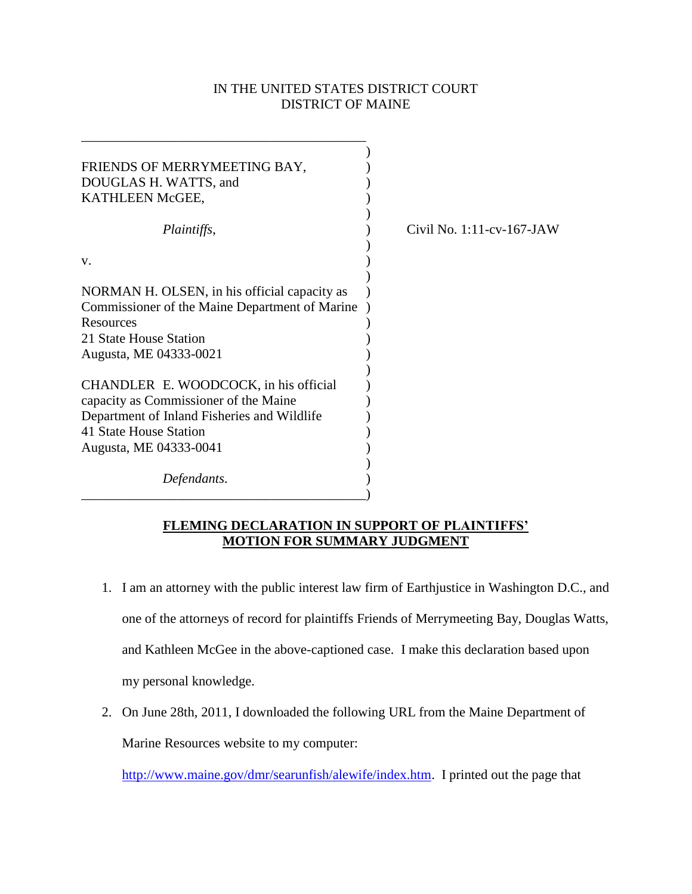## IN THE UNITED STATES DISTRICT COURT DISTRICT OF MAINE

| FRIENDS OF MERRYMEETING BAY,<br>DOUGLAS H. WATTS, and<br>KATHLEEN McGEE,                                                                                                          |                           |
|-----------------------------------------------------------------------------------------------------------------------------------------------------------------------------------|---------------------------|
| <i>Plaintiffs,</i>                                                                                                                                                                | Civil No. 1:11-cv-167-JAW |
| V.                                                                                                                                                                                |                           |
| NORMAN H. OLSEN, in his official capacity as<br>Commissioner of the Maine Department of Marine<br>Resources<br>21 State House Station<br>Augusta, ME 04333-0021                   |                           |
| CHANDLER E. WOODCOCK, in his official<br>capacity as Commissioner of the Maine<br>Department of Inland Fisheries and Wildlife<br>41 State House Station<br>Augusta, ME 04333-0041 |                           |
| Defendants.                                                                                                                                                                       |                           |

## **FLEMING DECLARATION IN SUPPORT OF PLAINTIFFS' MOTION FOR SUMMARY JUDGMENT**

- 1. I am an attorney with the public interest law firm of Earthjustice in Washington D.C., and one of the attorneys of record for plaintiffs Friends of Merrymeeting Bay, Douglas Watts, and Kathleen McGee in the above-captioned case. I make this declaration based upon my personal knowledge.
- 2. On June 28th, 2011, I downloaded the following URL from the Maine Department of Marine Resources website to my computer:

[http://www.maine.gov/dmr/searunfish/alewife/index.htm.](http://www.maine.gov/dmr/searunfish/alewife/index.htm) I printed out the page that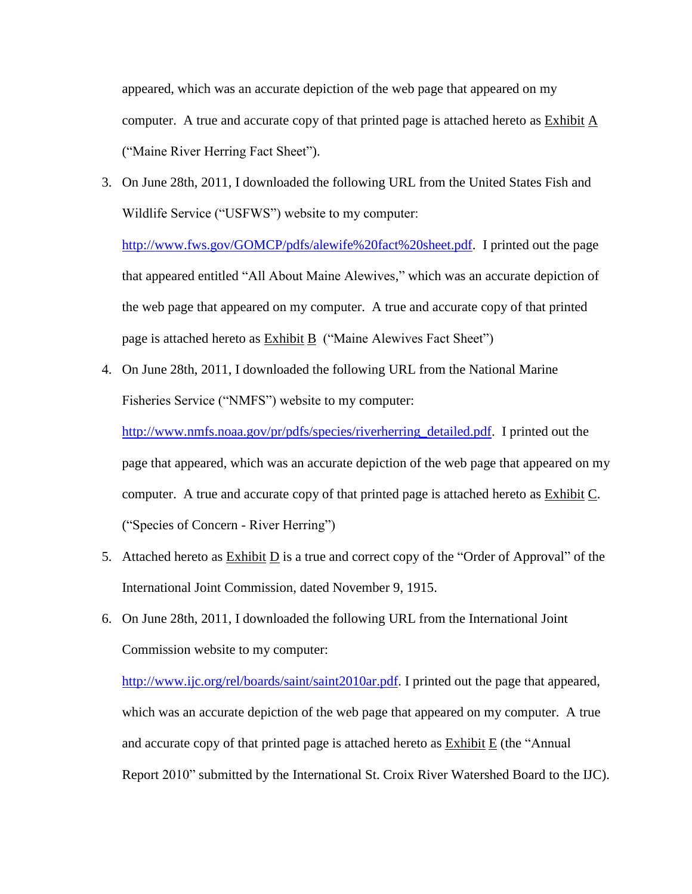appeared, which was an accurate depiction of the web page that appeared on my computer. A true and accurate copy of that printed page is attached hereto as Exhibit A ("Maine River Herring Fact Sheet").

3. On June 28th, 2011, I downloaded the following URL from the United States Fish and Wildlife Service ("USFWS") website to my computer:

[http://www.fws.gov/GOMCP/pdfs/alewife%20fact%20sheet.pdf.](http://www.fws.gov/GOMCP/pdfs/alewife%20fact%20sheet.pdf) I printed out the page that appeared entitled "All About Maine Alewives," which was an accurate depiction of the web page that appeared on my computer. A true and accurate copy of that printed page is attached hereto as Exhibit B ("Maine Alewives Fact Sheet")

4. On June 28th, 2011, I downloaded the following URL from the National Marine Fisheries Service ("NMFS") website to my computer:

[http://www.nmfs.noaa.gov/pr/pdfs/species/riverherring\\_detailed.pdf.](http://www.nmfs.noaa.gov/pr/pdfs/species/riverherring_detailed.pdf) I printed out the page that appeared, which was an accurate depiction of the web page that appeared on my computer. A true and accurate copy of that printed page is attached hereto as Exhibit C. ("Species of Concern - River Herring")

- 5. Attached hereto as Exhibit D is a true and correct copy of the "Order of Approval" of the International Joint Commission, dated November 9, 1915.
- 6. On June 28th, 2011, I downloaded the following URL from the International Joint Commission website to my computer:

[http://www.ijc.org/rel/boards/saint/saint2010ar.pdf.](http://www.ijc.org/rel/boards/saint/saint2010ar.pdf) I printed out the page that appeared, which was an accurate depiction of the web page that appeared on my computer. A true and accurate copy of that printed page is attached hereto as Exhibit E (the "Annual Report 2010" submitted by the International St. Croix River Watershed Board to the IJC).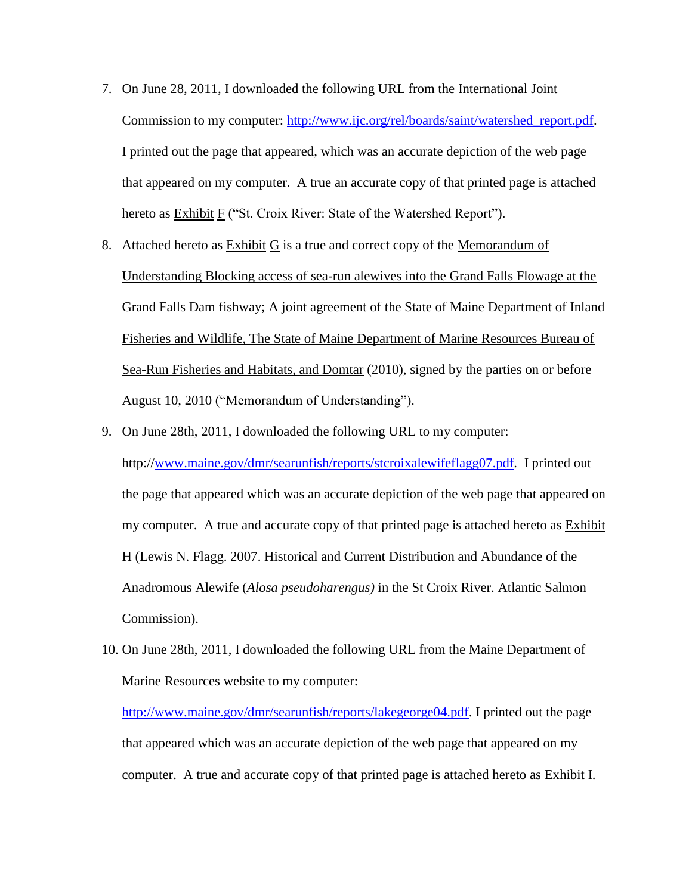- 7. On June 28, 2011, I downloaded the following URL from the International Joint Commission to my computer: [http://www.ijc.org/rel/boards/saint/watershed\\_report.pdf.](http://www.ijc.org/rel/boards/saint/watershed_report.pdf) I printed out the page that appeared, which was an accurate depiction of the web page that appeared on my computer. A true an accurate copy of that printed page is attached hereto as Exhibit F ("St. Croix River: State of the Watershed Report").
- 8. Attached hereto as Exhibit G is a true and correct copy of the Memorandum of Understanding Blocking access of sea-run alewives into the Grand Falls Flowage at the Grand Falls Dam fishway; A joint agreement of the State of Maine Department of Inland Fisheries and Wildlife, The State of Maine Department of Marine Resources Bureau of Sea-Run Fisheries and Habitats, and Domtar (2010), signed by the parties on or before August 10, 2010 ("Memorandum of Understanding").
- 9. On June 28th, 2011, I downloaded the following URL to my computer: http:/[/www.maine.gov/dmr/searunfish/reports/stcroixalewifeflagg07.pdf.](http://www.maine.gov/dmr/searunfish/reports/stcroixalewifeflagg07.pdf) I printed out the page that appeared which was an accurate depiction of the web page that appeared on my computer. A true and accurate copy of that printed page is attached hereto as **Exhibit** H (Lewis N. Flagg. 2007. Historical and Current Distribution and Abundance of the Anadromous Alewife (*Alosa pseudoharengus)* in the St Croix River. Atlantic Salmon Commission).
- 10. On June 28th, 2011, I downloaded the following URL from the Maine Department of Marine Resources website to my computer:

[http://www.maine.gov/dmr/searunfish/reports/lakegeorge04.pdf.](http://www.maine.gov/dmr/searunfish/reports/lakegeorge04.pdf) I printed out the page that appeared which was an accurate depiction of the web page that appeared on my computer. A true and accurate copy of that printed page is attached hereto as Exhibit I.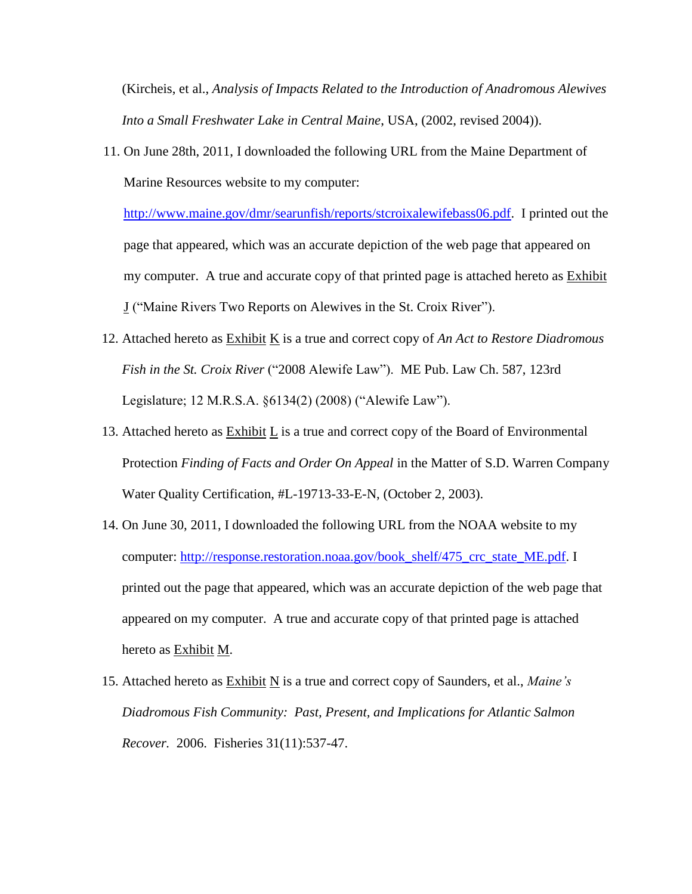(Kircheis, et al., *Analysis of Impacts Related to the Introduction of Anadromous Alewives Into a Small Freshwater Lake in Central Maine*, USA, (2002, revised 2004)).

11. On June 28th, 2011, I downloaded the following URL from the Maine Department of Marine Resources website to my computer:

[http://www.maine.gov/dmr/searunfish/reports/stcroixalewifebass06.pdf.](http://www.maine.gov/dmr/searunfish/reports/stcroixalewifebass06.pdf) I printed out the page that appeared, which was an accurate depiction of the web page that appeared on my computer. A true and accurate copy of that printed page is attached hereto as Exhibit J ("Maine Rivers Two Reports on Alewives in the St. Croix River").

- 12. Attached hereto as Exhibit K is a true and correct copy of *An Act to Restore Diadromous Fish in the St. Croix River* ("2008 Alewife Law"). ME Pub. Law Ch. 587, 123rd Legislature; 12 M.R.S.A. §6134(2) (2008) ("Alewife Law").
- 13. Attached hereto as Exhibit L is a true and correct copy of the Board of Environmental Protection *Finding of Facts and Order On Appeal* in the Matter of S.D. Warren Company Water Quality Certification, #L-19713-33-E-N, (October 2, 2003).
- 14. On June 30, 2011, I downloaded the following URL from the NOAA website to my computer: [http://response.restoration.noaa.gov/book\\_shelf/475\\_crc\\_state\\_ME.pdf.](http://response.restoration.noaa.gov/book_shelf/475_crc_state_ME.pdf) I printed out the page that appeared, which was an accurate depiction of the web page that appeared on my computer. A true and accurate copy of that printed page is attached hereto as Exhibit M.
- 15. Attached hereto as Exhibit N is a true and correct copy of Saunders, et al., *Maine's Diadromous Fish Community: Past, Present, and Implications for Atlantic Salmon Recover.* 2006. Fisheries 31(11):537-47.